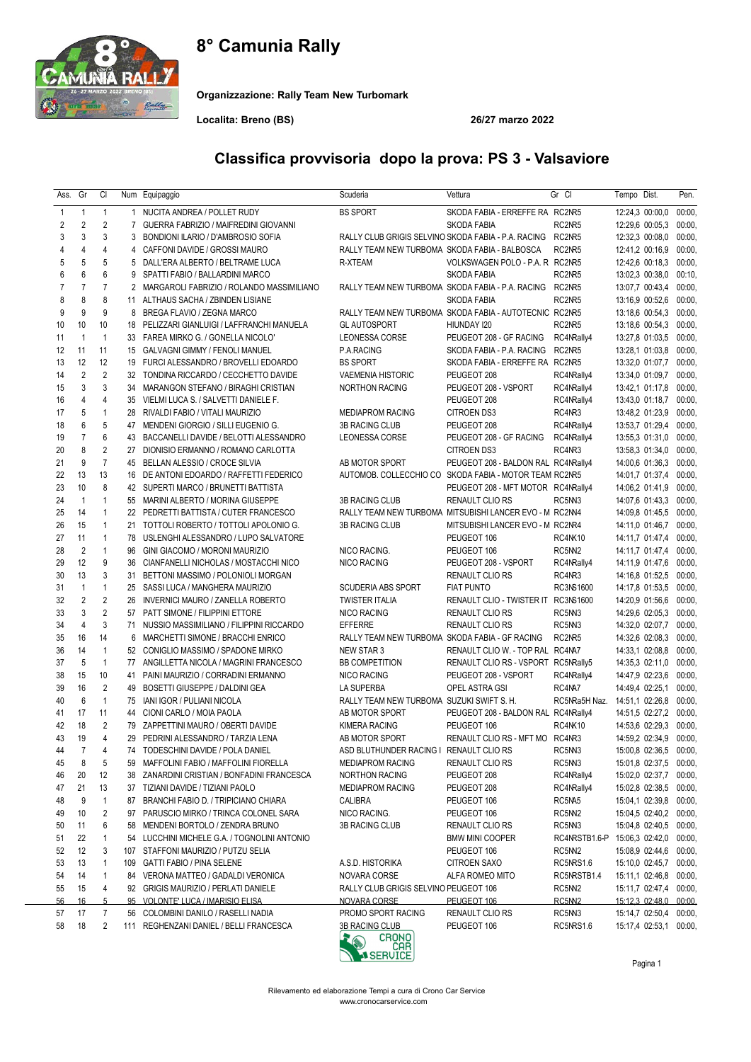# 8° Camunia Rally



Organizzazione: Rally Team New Turbomark

Localita: Breno (BS) 26/27 marzo 2022

| Ass. | Gr             | CI                   |                | Num Equipaggio                                                                 | Scuderia                                                | Vettura                             | Gr Cl                         | Tempo Dist.            | Pen.   |
|------|----------------|----------------------|----------------|--------------------------------------------------------------------------------|---------------------------------------------------------|-------------------------------------|-------------------------------|------------------------|--------|
| 1    | 1              | $\mathbf{1}$         |                | 1 NUCITA ANDREA / POLLET RUDY                                                  | <b>BS SPORT</b>                                         | SKODA FABIA - ERREFFE RA RC2NR5     |                               | 12:24,3 00:00,0        | 00:00, |
| 2    | $\overline{2}$ | $\overline{2}$       | $\overline{7}$ | GUERRA FABRIZIO / MAIFREDINI GIOVANNI                                          |                                                         | <b>SKODA FABIA</b>                  | RC2NR5                        | 12:29,6 00:05,3        | 00:00, |
| 3    | 3              | 3                    | 3              | BONDIONI ILARIO / D'AMBROSIO SOFIA                                             | RALLY CLUB GRIGIS SELVINO SKODA FABIA - P.A. RACING     |                                     | RC2NR5                        | 12:32,3 00:08,0        | 00:00, |
| 4    | $\overline{4}$ | 4                    | 4              | CAFFONI DAVIDE / GROSSI MAURO                                                  | RALLY TEAM NEW TURBOMA SKODA FABIA - BALBOSCA           |                                     | RC2NR5                        | 12:41,2 00:16,9        | 00:00. |
| 5    | 5              | 5                    | 5              | DALL'ERA ALBERTO / BELTRAME LUCA                                               | R-XTEAM                                                 | VOLKSWAGEN POLO - P.A. R RC2NR5     |                               | 12:42,6 00:18,3        | 00:00  |
| 6    | 6              | 6                    | 9              | SPATTI FABIO / BALLARDINI MARCO                                                |                                                         | <b>SKODA FABIA</b>                  | RC2NR5                        | 13:02,3 00:38,0        | 00:10, |
| 7    | $\overline{7}$ | 7                    | 2              | MARGAROLI FABRIZIO / ROLANDO MASSIMILIANO                                      | RALLY TEAM NEW TURBOMA SKODA FABIA - P.A. RACING        |                                     | RC2NR5                        | 13:07,7 00:43,4        | 00:00, |
| 8    | 8              | 8                    | 11             | ALTHAUS SACHA / ZBINDEN LISIANE                                                |                                                         | SKODA FABIA                         | RC2NR5                        | 13:16,9 00:52,6        | 00:00, |
| 9    | 9              | 9                    | 8              | BREGA FLAVIO / ZEGNA MARCO                                                     | RALLY TEAM NEW TURBOMA SKODA FABIA - AUTOTECNIC RC2NR5  |                                     |                               | 13:18,6 00:54,3        | 00:00, |
| 10   | 10             | 10                   |                | 18 PELIZZARI GIANLUIGI / LAFFRANCHI MANUELA                                    | <b>GL AUTOSPORT</b>                                     | HIUNDAY 120                         | RC2NR5                        | 13:18,6 00:54,3        | 00:00  |
| 11   | $\mathbf{1}$   | $\mathbf{1}$         | 33             | FAREA MIRKO G. / GONELLA NICOLO'                                               | LEONESSA CORSE                                          | PEUGEOT 208 - GF RACING             | RC4NRally4                    | 13:27,8 01:03,5        | 00:00, |
| 12   | 11             | 11                   |                | 15 GALVAGNI GIMMY / FENOLI MANUEL                                              | P.A.RACING                                              | SKODA FABIA - P.A. RACING           | RC2NR5                        | 13:28,1 01:03,8        | 00:00, |
| 13   | 12             | 12                   |                | 19 FURCI ALESSANDRO / BROVELLI EDOARDO                                         | <b>BS SPORT</b>                                         | SKODA FABIA - ERREFFE RA RC2NR5     |                               | 13:32,0 01:07,7        | 00:00, |
| 14   | 2              | $\overline{2}$       |                | 32 TONDINA RICCARDO / CECCHETTO DAVIDE                                         | <b>VAEMENIA HISTORIC</b>                                | PEUGEOT 208                         | RC4NRally4                    | 13:34,0 01:09,7        | 00:00, |
| 15   | 3              | 3                    | 34             | MARANGON STEFANO / BIRAGHI CRISTIAN                                            | <b>NORTHON RACING</b>                                   | PEUGEOT 208 - VSPORT                | RC4NRally4                    | 13:42,1 01:17,8        | 00:00, |
| 16   | $\overline{4}$ | 4                    |                | 35 VIELMI LUCA S. / SALVETTI DANIELE F.                                        |                                                         | PEUGEOT 208                         | RC4NRally4                    | 13:43,0 01:18,7        | 00:00, |
| 17   | 5              | $\mathbf{1}$         | 28             | RIVALDI FABIO / VITALI MAURIZIO                                                | <b>MEDIAPROM RACING</b>                                 | <b>CITROEN DS3</b>                  | RC4NR3                        | 13:48,2 01:23,9        | 00:00, |
| 18   | 6              | 5                    |                | 47 MENDENI GIORGIO / SILLI EUGENIO G.                                          | <b>3B RACING CLUB</b>                                   | PEUGEOT 208                         | RC4NRally4                    | 13:53,7 01:29,4        | 00:00, |
| 19   | $\overline{7}$ | 6                    |                | 43 BACCANELLI DAVIDE / BELOTTI ALESSANDRO                                      | LEONESSA CORSE                                          | PEUGEOT 208 - GF RACING             | RC4NRally4                    | 13:55,3 01:31,0 00:00, |        |
| 20   | 8              | $\overline{2}$       | 27             | DIONISIO ERMANNO / ROMANO CARLOTTA                                             |                                                         | <b>CITROEN DS3</b>                  | RC4NR3                        | 13:58,3 01:34,0        | 00:00, |
| 21   | 9              | $\overline{7}$       |                | 45 BELLAN ALESSIO / CROCE SILVIA                                               | AB MOTOR SPORT                                          | PEUGEOT 208 - BALDON RAL RC4NRally4 |                               | 14:00,6 01:36,3        | 00:00  |
| 22   | 13             | 13                   |                | 16 DE ANTONI EDOARDO / RAFFETTI FEDERICO                                       | AUTOMOB. COLLECCHIO CO SKODA FABIA - MOTOR TEAM RC2NR5  |                                     |                               | 14:01,7 01:37,4        | 00:00, |
| 23   | 10             | 8                    |                | 42 SUPERTI MARCO / BRUNETTI BATTISTA                                           |                                                         | PEUGEOT 208 - MFT MOTOR RC4NRally4  |                               | 14:06,2 01:41,9        | 00:00, |
| 24   | $\mathbf{1}$   | $\mathbf{1}$         |                | 55 MARINI ALBERTO / MORINA GIUSEPPE                                            | <b>3B RACING CLUB</b>                                   | RENAULT CLIO RS                     | RC5NN3                        | 14:07,6 01:43,3        | 00:00, |
| 25   | 14             | $\mathbf{1}$         |                | 22 PEDRETTI BATTISTA / CUTER FRANCESCO                                         | RALLY TEAM NEW TURBOMA MITSUBISHI LANCER EVO - M RC2NN4 |                                     |                               | 14:09,8 01:45,5        | 00:00, |
| 26   | 15             | $\mathbf{1}$         | 21             | TOTTOLI ROBERTO / TOTTOLI APOLONIO G.                                          | <b>3B RACING CLUB</b>                                   | MITSUBISHI LANCER EVO - M RC2NR4    |                               | 14:11,0 01:46,7        | 00:00, |
| 27   | 11             | 1                    |                | 78 USLENGHI ALESSANDRO / LUPO SALVATORE                                        |                                                         | PEUGEOT 106                         | <b>RC4NK10</b>                | 14:11,7 01:47,4        | 00:00, |
| 28   | $\overline{2}$ | $\mathbf{1}$         | 96             | GINI GIACOMO / MORONI MAURIZIO                                                 | NICO RACING.                                            | PEUGEOT 106                         | RC5NN2                        | 14:11,7 01:47,4        | 00:00, |
| 29   | 12             | 9                    | 36             | CIANFANELLI NICHOLAS / MOSTACCHI NICO                                          | <b>NICO RACING</b>                                      | PEUGEOT 208 - VSPORT                | RC4NRally4                    | 14:11,9 01:47,6        | 00:00, |
| 30   | 13             | 3                    | 31             | BETTONI MASSIMO / POLONIOLI MORGAN                                             |                                                         | RENAULT CLIO RS                     | RC4NR3                        | 14:16,8 01:52,5 00:00, |        |
| 31   | $\mathbf{1}$   | $\mathbf{1}$         | 25             | SASSI LUCA / MANGHERA MAURIZIO                                                 | <b>SCUDERIA ABS SPORT</b>                               | <b>FIAT PUNTO</b>                   | RC3NS1600                     | 14:17,8 01:53,5        | 00:00, |
| 32   | 2              | $\overline{2}$       | 26             | INVERNICI MAURO / ZANELLA ROBERTO                                              | <b>TWISTER ITALIA</b>                                   | RENAULT CLIO - TWISTER IT RC3NS1600 |                               | 14:20,9 01:56,6        | 00:00, |
| 33   | 3              | $\overline{2}$       |                | 57 PATT SIMONE / FILIPPINI ETTORE                                              | NICO RACING                                             |                                     | RC5NN3                        | 14:29,6 02:05,3        | 00:00, |
| 34   | $\overline{4}$ | 3                    | 71             | NUSSIO MASSIMILIANO / FILIPPINI RICCARDO                                       | <b>EFFERRE</b>                                          | RENAULT CLIO RS<br>RENAULT CLIO RS  | RC5NN3                        | 14:32,0 02:07,7        | 00:00, |
|      | 16             | 14                   | 6              | MARCHETTI SIMONE / BRACCHI ENRICO                                              | RALLY TEAM NEW TURBOMA SKODA FABIA - GF RACING          |                                     | RC2NR5                        |                        | 00:00, |
| 35   |                | $\mathbf{1}$         |                |                                                                                |                                                         |                                     |                               | 14:32,6 02:08,3        |        |
| 36   | 14<br>5        | $\mathbf{1}$         | 52             | CONIGLIO MASSIMO / SPADONE MIRKO                                               | <b>NEW STAR 3</b>                                       | RENAULT CLIO W. - TOP RAL RC4NA7    |                               | 14:33,1 02:08,8        | 00:00, |
| 37   |                |                      |                | 77 ANGILLETTA NICOLA / MAGRINI FRANCESCO<br>PAINI MAURIZIO / CORRADINI ERMANNO | <b>BB COMPETITION</b>                                   | RENAULT CLIO RS - VSPORT RC5NRally5 |                               | 14:35,3 02:11,0        | 00:00  |
| 38   | 15<br>16       | 10<br>$\overline{2}$ | 41             | <b>BOSETTI GIUSEPPE / DALDINI GEA</b>                                          | <b>NICO RACING</b>                                      | PEUGEOT 208 - VSPORT                | RC4NRally4                    | 14:47,9 02:23,6        | 00:00  |
| 39   |                |                      | 49             |                                                                                | LA SUPERBA                                              | OPEL ASTRA GSI                      | RC4NA7                        | 14:49,4 02:25,1        | 00:00  |
| 40   | 6              | $\mathbf{1}$         | 75             | IANI IGOR / PULIANI NICOLA                                                     | RALLY TEAM NEW TURBOMA SUZUKI SWIFT S. H.               |                                     | RC5NRa5H Naz.                 | 14:51,1 02:26,8        | 00:00  |
| 41   | 17             | 11                   |                | 44 CIONI CARLO / MOIA PAOLA                                                    | AB MOTOR SPORT                                          | PEUGEOT 208 - BALDON RAL RC4NRally4 |                               | 14:51,5 02:27,2        | 00:00. |
| 42   | 18             | $\overline{2}$       |                | 79 ZAPPETTINI MAURO / OBERTI DAVIDE                                            | <b>KIMERA RACING</b>                                    | PEUGEOT 106                         | <b>RC4NK10</b>                | 14:53,6 02:29,3        | 00:00, |
| 43   | 19             | $\overline{4}$       | 29             | PEDRINI ALESSANDRO / TARZIA LENA                                               | AB MOTOR SPORT                                          | RENAULT CLIO RS - MFT MO RC4NR3     |                               | 14:59,2 02:34,9        | 00:00, |
| 44   | 7              | 4                    |                | 74 TODESCHINI DAVIDE / POLA DANIEL                                             | ASD BLUTHUNDER RACING I RENAULT CLIO RS                 |                                     | RC5NN3                        | 15:00,8 02:36,5        | 00:00, |
| 45   | 8              | 5                    |                | 59 MAFFOLINI FABIO / MAFFOLINI FIORELLA                                        | <b>MEDIAPROM RACING</b>                                 | RENAULT CLIO RS                     | RC5NN3                        | 15:01,8 02:37,5        | 00:00, |
| 46   | 20             | 12                   | 38             | ZANARDINI CRISTIAN / BONFADINI FRANCESCA                                       | NORTHON RACING                                          | PEUGEOT 208                         | RC4NRally4                    | 15:02,0 02:37,7        | 00:00, |
| 47   | 21             | 13                   |                | 37 TIZIANI DAVIDE / TIZIANI PAOLO                                              | <b>MEDIAPROM RACING</b>                                 | PEUGEOT 208                         | RC4NRally4                    | 15:02,8 02:38,5        | 00:00, |
| 48   | 9              | $\mathbf{1}$         |                | 87 BRANCHI FABIO D. / TRIPICIANO CHIARA                                        | CALIBRA                                                 | PEUGEOT 106                         | RC5NA5                        | 15:04,1 02:39,8 00:00, |        |
| 49   | 10             | $\overline{c}$       | 97             | PARUSCIO MIRKO / TRINCA COLONEL SARA                                           | NICO RACING.                                            | PEUGEOT 106                         | RC5NN2                        | 15:04,5 02:40,2        | 00:00, |
| 50   | 11             | 6                    | 58             | MENDENI BORTOLO / ZENDRA BRUNO                                                 | 3B RACING CLUB                                          | RENAULT CLIO RS                     | RC5NN3                        | 15:04,8 02:40,5        | 00:00, |
| 51   | 22             | $\mathbf{1}$         |                | 54 LUCCHINI MICHELE G.A. / TOGNOLINI ANTONIO                                   |                                                         | <b>BMW MINI COOPER</b>              | RC4NRSTB1.6-P 15:06,3 02:42,0 |                        | 00:00, |
| 52   | 12             | 3                    |                | 107 STAFFONI MAURIZIO / PUTZU SELIA                                            |                                                         | PEUGEOT 106                         | RC5NN2                        | 15:08,9 02:44,6 00:00, |        |
| 53   | 13             | 1                    |                | 109 GATTI FABIO / PINA SELENE                                                  | A.S.D. HISTORIKA                                        | <b>CITROEN SAXO</b>                 | RC5NRS1.6                     | 15:10,0 02:45,7        | 00:00, |
| 54   | 14             | 1                    |                | 84 VERONA MATTEO / GADALDI VERONICA                                            | NOVARA CORSE                                            | ALFA ROMEO MITO                     | RC5NRSTB1.4                   | 15:11,1 02:46,8        | 00:00, |
| 55   | 15             | 4                    |                | 92 GRIGIS MAURIZIO / PERLATI DANIELE                                           | RALLY CLUB GRIGIS SELVINO PEUGEOT 106                   |                                     | RC5NN2                        | 15:11,7 02:47,4        | 00:00, |
| 56   | <u>16</u>      | 5                    |                | 95 VOLONTE' LUCA / IMARISIO ELISA                                              | <b>NOVARA CORSE</b>                                     | PEUGEOT 106                         | RC5NN2                        | 15:12,3 02:48,0 00:00, |        |
| 57   | 17             | $\overline{7}$       |                | 56 COLOMBINI DANILO / RASELLI NADIA                                            | PROMO SPORT RACING                                      | RENAULT CLIO RS                     | RC5NN3                        | 15:14,7 02:50,4 00:00, |        |
| 58   | 18             | 2                    |                | 111 REGHENZANI DANIEL / BELLI FRANCESCA                                        | 3B RACING CLUB                                          | PEUGEOT 106                         | RC5NRS1.6                     | 15:17,4 02:53,1        | 00:00, |

### Classifica provvisoria dopo la prova: PS 3 - Valsaviore



Pagina 1